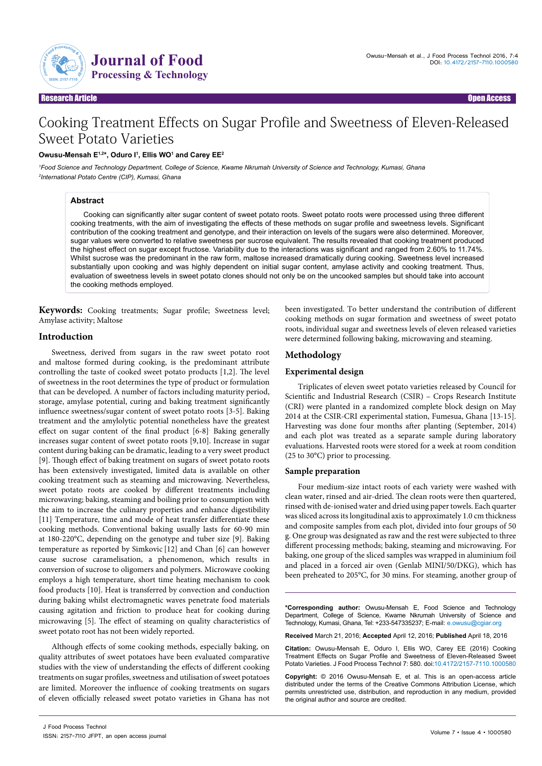

Research Article Open Access

# Cooking Treatment Effects on Sugar Profile and Sweetness of Eleven-Released Sweet Potato Varieties

## **Owusu-Mensah E1,2\*, Oduro I1 , Ellis WO1 and Carey EE2**

*1 Food Science and Technology Department, College of Science, Kwame Nkrumah University of Science and Technology, Kumasi, Ghana 2 International Potato Centre (CIP), Kumasi, Ghana*

### **Abstract**

Cooking can significantly alter sugar content of sweet potato roots. Sweet potato roots were processed using three different cooking treatments, with the aim of investigating the effects of these methods on sugar profile and sweetness levels. Significant contribution of the cooking treatment and genotype, and their interaction on levels of the sugars were also determined. Moreover, sugar values were converted to relative sweetness per sucrose equivalent. The results revealed that cooking treatment produced the highest effect on sugar except fructose. Variability due to the interactions was significant and ranged from 2.60% to 11.74%. Whilst sucrose was the predominant in the raw form, maltose increased dramatically during cooking. Sweetness level increased substantially upon cooking and was highly dependent on initial sugar content, amylase activity and cooking treatment. Thus, evaluation of sweetness levels in sweet potato clones should not only be on the uncooked samples but should take into account the cooking methods employed.

**Keywords:** Cooking treatments; Sugar profile; Sweetness level; Amylase activity; Maltose

## **Introduction**

Sweetness, derived from sugars in the raw sweet potato root and maltose formed during cooking, is the predominant attribute controlling the taste of cooked sweet potato products [1,2]. The level of sweetness in the root determines the type of product or formulation that can be developed. A number of factors including maturity period, storage, amylase potential, curing and baking treatment significantly influence sweetness/sugar content of sweet potato roots [3-5]. Baking treatment and the amylolytic potential nonetheless have the greatest effect on sugar content of the final product [6-8]*.* Baking generally increases sugar content of sweet potato roots [9,10]. Increase in sugar content during baking can be dramatic, leading to a very sweet product [9]. Though effect of baking treatment on sugars of sweet potato roots has been extensively investigated, limited data is available on other cooking treatment such as steaming and microwaving. Nevertheless, sweet potato roots are cooked by different treatments including microwaving; baking, steaming and boiling prior to consumption with the aim to increase the culinary properties and enhance digestibility [11]<sup>.</sup> Temperature, time and mode of heat transfer differentiate these cooking methods. Conventional baking usually lasts for 60-90 min at 180-220°C, depending on the genotype and tuber size [9]. Baking temperature as reported by Simkovic [12] and Chan [6] can however cause sucrose caramelisation, a phenomenon, which results in conversion of sucrose to oligomers and polymers. Microwave cooking employs a high temperature, short time heating mechanism to cook food products [10]. Heat is transferred by convection and conduction during baking whilst electromagnetic waves penetrate food materials causing agitation and friction to produce heat for cooking during microwaving [5]. The effect of steaming on quality characteristics of sweet potato root has not been widely reported.

Although effects of some cooking methods, especially baking, on quality attributes of sweet potatoes have been evaluated comparative studies with the view of understanding the effects of different cooking treatments on sugar profiles, sweetness and utilisation of sweet potatoes are limited. Moreover the influence of cooking treatments on sugars of eleven officially released sweet potato varieties in Ghana has not been investigated. To better understand the contribution of different cooking methods on sugar formation and sweetness of sweet potato roots, individual sugar and sweetness levels of eleven released varieties were determined following baking, microwaving and steaming.

# **Methodology**

## **Experimental design**

Triplicates of eleven sweet potato varieties released by Council for Scientific and Industrial Research (CSIR) – Crops Research Institute (CRI) were planted in a randomized complete block design on May 2014 at the CSIR-CRI experimental station, Fumesua, Ghana [13-15]. Harvesting was done four months after planting (September, 2014) and each plot was treated as a separate sample during laboratory evaluations. Harvested roots were stored for a week at room condition (25 to 30°C) prior to processing.

### **Sample preparation**

Four medium-size intact roots of each variety were washed with clean water, rinsed and air-dried. The clean roots were then quartered, rinsed with de-ionised water and dried using paper towels. Each quarter was sliced across its longitudinal axis to approximately 1.0 cm thickness and composite samples from each plot, divided into four groups of 50 g. One group was designated as raw and the rest were subjected to three different processing methods; baking, steaming and microwaving. For baking, one group of the sliced samples was wrapped in aluminium foil and placed in a forced air oven (Genlab MINI/50/DKG), which has been preheated to 205°C, for 30 mins. For steaming, another group of

**\*Corresponding author:** Owusu-Mensah E, Food Science and Technology Department, College of Science, Kwame Nkrumah University of Science and Technology, Kumasi, Ghana, Tel: +233-547335237; E-mail: e.owusu@cgiar.org

**Received** March 21, 2016; **Accepted** April 12, 2016; **Published** April 18, 2016

**Citation:** Owusu-Mensah E, Oduro I, Ellis WO, Carey EE (2016) Cooking Treatment Effects on Sugar Profile and Sweetness of Eleven-Released Sweet Potato Varieties. J Food Process Technol 7: 580. doi:10.4172/2157-7110.1000580

**Copyright:** © 2016 Owusu-Mensah E, et al. This is an open-access article distributed under the terms of the Creative Commons Attribution License, which permits unrestricted use, distribution, and reproduction in any medium, provided the original author and source are credited.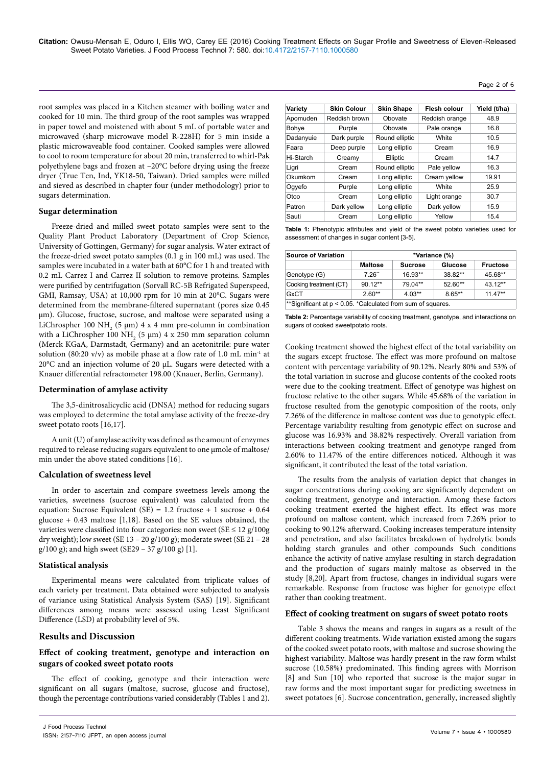root samples was placed in a Kitchen steamer with boiling water and cooked for 10 min. The third group of the root samples was wrapped in paper towel and moistened with about 5 mL of portable water and microwaved (sharp microwave model R-228H) for 5 min inside a plastic microwaveable food container. Cooked samples were allowed to cool to room temperature for about 20 min, transferred to whirl-Pak polyethylene bags and frozen at –20°C before drying using the freeze dryer (True Ten, Ind, YK18-50, Taiwan). Dried samples were milled and sieved as described in chapter four (under methodology) prior to sugars determination.

#### **Sugar determination**

Freeze-dried and milled sweet potato samples were sent to the Quality Plant Product Laboratory (Department of Crop Science, University of Gottingen, Germany) for sugar analysis. Water extract of the freeze-dried sweet potato samples (0.1 g in 100 mL) was used. The samples were incubated in a water bath at 60°C for 1 h and treated with 0.2 mL Carrez I and Carrez II solution to remove proteins. Samples were purified by centrifugation (Sorvall RC-5B Refrigated Superspeed, GMI, Ramsay, USA) at 10,000 rpm for 10 min at 20°C. Sugars were determined from the membrane-filtered supernatant (pores size 0.45 µm). Glucose, fructose, sucrose, and maltose were separated using a LiChrospher 100 NH<sub>2</sub> (5  $\mu$ m) 4 x 4 mm pre-column in combination with a LiChrospher 100  $NH_2$  (5 µm) 4 x 250 mm separation column (Merck KGaA, Darmstadt, Germany) and an acetonitrile: pure water solution (80:20 v/v) as mobile phase at a flow rate of 1.0 mL min<sup>-1</sup> at 20°C and an injection volume of 20 µL. Sugars were detected with a Knauer differential refractometer 198.00 (Knauer, Berlin, Germany).

#### **Determination of amylase activity**

The 3,5-dinitrosalicyclic acid (DNSA) method for reducing sugars was employed to determine the total amylase activity of the freeze-dry sweet potato roots [16,17].

A unit (U) of amylase activity was defined as the amount of enzymes required to release reducing sugars equivalent to one µmole of maltose/ min under the above stated conditions [16].

### **Calculation of sweetness level**

In order to ascertain and compare sweetness levels among the varieties, sweetness (sucrose equivalent) was calculated from the equation: Sucrose Equivalent (SE) = 1.2 fructose + 1 sucrose + 0.64 glucose + 0.43 maltose [1,18]. Based on the SE values obtained, the varieties were classified into four categories: non sweet ( $SE \le 12$  g/100g dry weight); low sweet (SE 13 – 20 g/100 g); moderate sweet (SE 21 – 28 g/100 g); and high sweet (SE29 – 37 g/100 g) [1].

### **Statistical analysis**

Experimental means were calculated from triplicate values of each variety per treatment. Data obtained were subjected to analysis of variance using Statistical Analysis System (SAS) [19]. Significant differences among means were assessed using Least Significant Difference (LSD) at probability level of 5%.

### **Results and Discussion**

## **Effect of cooking treatment, genotype and interaction on sugars of cooked sweet potato roots**

The effect of cooking, genotype and their interaction were significant on all sugars (maltose, sucrose, glucose and fructose), though the percentage contributions varied considerably (Tables 1 and 2).

| Variety   | <b>Skin Colour</b> | <b>Skin Shape</b> | Flesh colour   | Yield (t/ha) |
|-----------|--------------------|-------------------|----------------|--------------|
| Apomuden  | Reddish brown      | Obovate           | Reddish orange | 48.9         |
| Bohye     | Purple             | Obovate           | Pale orange    | 16.8         |
| Dadanyuie | Dark purple        | Round elliptic    | <b>White</b>   | 10.5         |
| Faara     | Deep purple        | Long elliptic     | Cream          | 16.9         |
| Hi-Starch | Creamy             | Elliptic          | Cream          | 14.7         |
| Ligri     | Cream              | Round elliptic    | Pale yellow    | 16.3         |
| Okumkom   | Cream              | Long elliptic     | Cream yellow   | 19.91        |
| Oqyefo    | Purple             | Long elliptic     | <b>White</b>   | 25.9         |
| Otoo      | Cream              | Long elliptic     | Light orange   | 30.7         |
| Patron    | Dark yellow        | Long elliptic     | Dark yellow    | 15.9         |
| Sauti     | Cream              | Long elliptic     | Yellow         | 15.4         |

Page 2 of 6

| <b>Table 1:</b> Phenotypic attributes and yield of the sweet potato varieties used for |  |  |  |  |  |
|----------------------------------------------------------------------------------------|--|--|--|--|--|
| assessment of changes in sugar content [3-5].                                          |  |  |  |  |  |

| <b>Source of Variation</b> | *Variance (%)  |                |           |                 |  |  |  |
|----------------------------|----------------|----------------|-----------|-----------------|--|--|--|
|                            | <b>Maltose</b> | <b>Sucrose</b> | Glucose   | <b>Fructose</b> |  |  |  |
| Genotype (G)               | 7.26"          | $16.93**$      | 38.82**   | 45.68**         |  |  |  |
| Cooking treatment (CT)     | $90.12**$      | 79.04**        | $52.60**$ | $43.12**$       |  |  |  |
| GxCT                       | $2.60**$       | $4.03**$       | $8.65**$  | $11.47**$       |  |  |  |

**Table 2:** Percentage variability of cooking treatment, genotype, and interactions on sugars of cooked sweetpotato roots.

Cooking treatment showed the highest effect of the total variability on the sugars except fructose. The effect was more profound on maltose content with percentage variability of 90.12%. Nearly 80% and 53% of the total variation in sucrose and glucose contents of the cooked roots were due to the cooking treatment. Effect of genotype was highest on fructose relative to the other sugars. While 45.68% of the variation in fructose resulted from the genotypic composition of the roots, only 7.26% of the difference in maltose content was due to genotypic effect. Percentage variability resulting from genotypic effect on sucrose and glucose was 16.93% and 38.82% respectively. Overall variation from interactions between cooking treatment and genotype ranged from 2.60% to 11.47% of the entire differences noticed. Although it was significant, it contributed the least of the total variation.

The results from the analysis of variation depict that changes in sugar concentrations during cooking are significantly dependent on cooking treatment, genotype and interaction. Among these factors cooking treatment exerted the highest effect. Its effect was more profound on maltose content, which increased from 7.26% prior to cooking to 90.12% afterward. Cooking increases temperature intensity and penetration, and also facilitates breakdown of hydrolytic bonds holding starch granules and other compounds*.* Such conditions enhance the activity of native amylase resulting in starch degradation and the production of sugars mainly maltose as observed in the study [8,20]. Apart from fructose, changes in individual sugars were remarkable. Response from fructose was higher for genotype effect rather than cooking treatment.

#### **Effect of cooking treatment on sugars of sweet potato roots**

Table 3 shows the means and ranges in sugars as a result of the different cooking treatments. Wide variation existed among the sugars of the cooked sweet potato roots, with maltose and sucrose showing the highest variability. Maltose was hardly present in the raw form whilst sucrose (10.58%) predominated. This finding agrees with Morrison [8] and Sun [10] who reported that sucrose is the major sugar in raw forms and the most important sugar for predicting sweetness in sweet potatoes [6]. Sucrose concentration, generally, increased slightly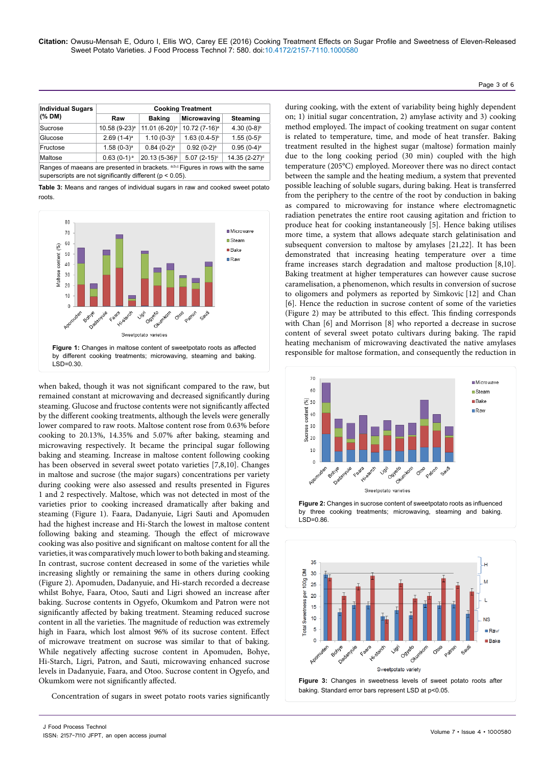| <b>Individual Sugars</b>                                                                                                                        | <b>Cooking Treatment</b>  |                           |                           |                           |  |  |  |
|-------------------------------------------------------------------------------------------------------------------------------------------------|---------------------------|---------------------------|---------------------------|---------------------------|--|--|--|
| (% DM)                                                                                                                                          | Raw                       | <b>Baking</b>             | <b>Microwaving</b>        | <b>Steaming</b>           |  |  |  |
| Sucrose                                                                                                                                         | 10.58 (9-23) <sup>a</sup> | 11.01 (6-20) <sup>a</sup> | 10.72 (7-16) <sup>a</sup> | 4.30 $(0-8)^{b}$          |  |  |  |
| Glucose                                                                                                                                         | $2.69(1-4)^a$             | $1.10(0-3)^{b}$           | $1.63(0.4-5)^{b}$         | $1.55(0-5)^{b}$           |  |  |  |
| Fructose                                                                                                                                        | $1.58(0-3)a$              | $0.84~(0-2)^a$            | $0.92(0-2)^a$             | $0.95(0-4)$ <sup>a</sup>  |  |  |  |
| Maltose                                                                                                                                         | $0.63(0-1)a$              | 20.13 (5-36) <sup>b</sup> | $5.07(2-15)^c$            | 14.35 (2-27) <sup>d</sup> |  |  |  |
| Ranges of maeans are presented in brackets. a,b,c Figures in rows with the same<br>superscripts are not significantly different ( $p < 0.05$ ). |                           |                           |                           |                           |  |  |  |

**Table 3:** Means and ranges of individual sugars in raw and cooked sweet potato roots.



when baked, though it was not significant compared to the raw, but remained constant at microwaving and decreased significantly during steaming. Glucose and fructose contents were not significantly affected by the different cooking treatments, although the levels were generally lower compared to raw roots. Maltose content rose from 0.63% before cooking to 20.13%, 14.35% and 5.07% after baking, steaming and microwaving respectively. It became the principal sugar following baking and steaming. Increase in maltose content following cooking has been observed in several sweet potato varieties [7,8,10]. Changes in maltose and sucrose (the major sugars) concentrations per variety during cooking were also assessed and results presented in Figures 1 and 2 respectively. Maltose, which was not detected in most of the varieties prior to cooking increased dramatically after baking and steaming (Figure 1). Faara, Dadanyuie, Ligri Sauti and Apomuden had the highest increase and Hi-Starch the lowest in maltose content following baking and steaming. Though the effect of microwave cooking was also positive and significant on maltose content for all the varieties, it was comparatively much lower to both baking and steaming. In contrast, sucrose content decreased in some of the varieties while increasing slightly or remaining the same in others during cooking (Figure 2). Apomuden, Dadanyuie, and Hi-starch recorded a decrease whilst Bohye, Faara, Otoo, Sauti and Ligri showed an increase after baking. Sucrose contents in Ogyefo, Okumkom and Patron were not significantly affected by baking treatment. Steaming reduced sucrose content in all the varieties. The magnitude of reduction was extremely high in Faara, which lost almost 96% of its sucrose content. Effect of microwave treatment on sucrose was similar to that of baking. While negatively affecting sucrose content in Apomuden, Bohye, Hi-Starch, Ligri, Patron, and Sauti, microwaving enhanced sucrose levels in Dadanyuie, Faara, and Otoo. Sucrose content in Ogyefo, and Okumkom were not significantly affected.

Concentration of sugars in sweet potato roots varies significantly

during cooking, with the extent of variability being highly dependent on; 1) initial sugar concentration, 2) amylase activity and 3) cooking method employed. The impact of cooking treatment on sugar content is related to temperature, time, and mode of heat transfer. Baking treatment resulted in the highest sugar (maltose) formation mainly due to the long cooking period (30 min) coupled with the high temperature (205°C) employed. Moreover there was no direct contact between the sample and the heating medium, a system that prevented possible leaching of soluble sugars, during baking. Heat is transferred from the periphery to the centre of the root by conduction in baking as compared to microwaving for instance where electromagnetic radiation penetrates the entire root causing agitation and friction to produce heat for cooking instantaneously [5]. Hence baking utilises more time, a system that allows adequate starch gelatinisation and subsequent conversion to maltose by amylases [21,22]. It has been demonstrated that increasing heating temperature over a time frame increases starch degradation and maltose production [8,10]. Baking treatment at higher temperatures can however cause sucrose caramelisation, a phenomenon, which results in conversion of sucrose to oligomers and polymers as reported by Simkovic [12] and Chan [6]. Hence the reduction in sucrose content of some of the varieties (Figure 2) may be attributed to this effect. This finding corresponds with Chan [6] and Morrison [8] who reported a decrease in sucrose content of several sweet potato cultivars during baking. The rapid heating mechanism of microwaving deactivated the native amylases Figure 1: Changes in maltose content of sweetpotato roots as affected<br>hy different cooking treatments: microwaying steaming and baking<br>responsible for maltose formation, and consequently the reduction in





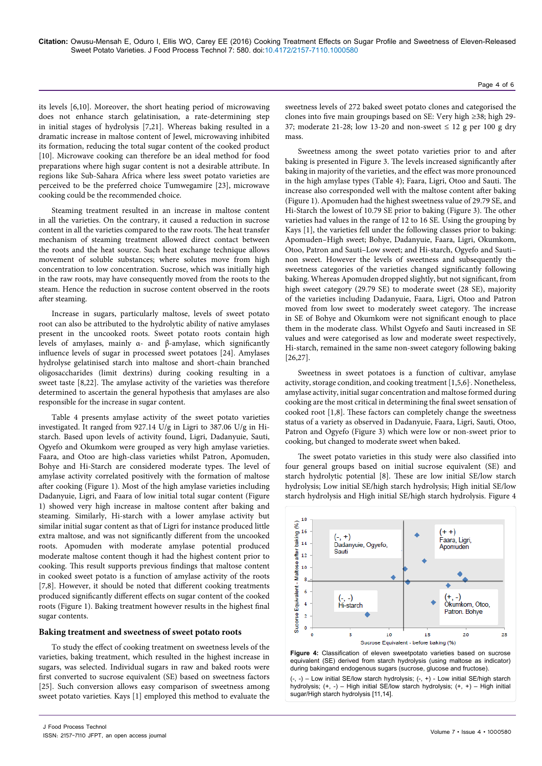**Citation:** Owusu-Mensah E, Oduro I, Ellis WO, Carey EE (2016) Cooking Treatment Effects on Sugar Profile and Sweetness of Eleven-Released Sweet Potato Varieties. J Food Process Technol 7: 580. doi:10.4172/2157-7110.1000580

its levels [6,10]. Moreover, the short heating period of microwaving does not enhance starch gelatinisation, a rate-determining step in initial stages of hydrolysis [7,21]. Whereas baking resulted in a dramatic increase in maltose content of Jewel, microwaving inhibited its formation, reducing the total sugar content of the cooked product [10]. Microwave cooking can therefore be an ideal method for food preparations where high sugar content is not a desirable attribute. In regions like Sub-Sahara Africa where less sweet potato varieties are perceived to be the preferred choice Tumwegamire [23], microwave cooking could be the recommended choice.

Steaming treatment resulted in an increase in maltose content in all the varieties. On the contrary, it caused a reduction in sucrose content in all the varieties compared to the raw roots. The heat transfer mechanism of steaming treatment allowed direct contact between the roots and the heat source. Such heat exchange technique allows movement of soluble substances; where solutes move from high concentration to low concentration. Sucrose, which was initially high in the raw roots, may have consequently moved from the roots to the steam. Hence the reduction in sucrose content observed in the roots after steaming.

Increase in sugars, particularly maltose, levels of sweet potato root can also be attributed to the hydrolytic ability of native amylases present in the uncooked roots. Sweet potato roots contain high levels of amylases, mainly α- and β-amylase, which significantly influence levels of sugar in processed sweet potatoes [24]. Amylases hydrolyse gelatinised starch into maltose and short-chain branched oligosaccharides (limit dextrins) during cooking resulting in a sweet taste [8,22]. The amylase activity of the varieties was therefore determined to ascertain the general hypothesis that amylases are also responsible for the increase in sugar content.

Table 4 presents amylase activity of the sweet potato varieties investigated. It ranged from 927.14 U/g in Ligri to 387.06 U/g in Histarch. Based upon levels of activity found, Ligri, Dadanyuie, Sauti, Ogyefo and Okumkom were grouped as very high amylase varieties. Faara, and Otoo are high-class varieties whilst Patron, Apomuden, Bohye and Hi-Starch are considered moderate types. The level of amylase activity correlated positively with the formation of maltose after cooking (Figure 1). Most of the high amylase varieties including Dadanyuie, Ligri, and Faara of low initial total sugar content (Figure 1) showed very high increase in maltose content after baking and steaming. Similarly, Hi-starch with a lower amylase activity but similar initial sugar content as that of Ligri for instance produced little extra maltose, and was not significantly different from the uncooked roots. Apomuden with moderate amylase potential produced moderate maltose content though it had the highest content prior to cooking. This result supports previous findings that maltose content in cooked sweet potato is a function of amylase activity of the roots [7,8]. However, it should be noted that different cooking treatments produced significantly different effects on sugar content of the cooked roots (Figure 1). Baking treatment however results in the highest final sugar contents.

#### **Baking treatment and sweetness of sweet potato roots**

To study the effect of cooking treatment on sweetness levels of the varieties, baking treatment, which resulted in the highest increase in sugars, was selected. Individual sugars in raw and baked roots were first converted to sucrose equivalent (SE) based on sweetness factors [25]. Such conversion allows easy comparison of sweetness among sweet potato varieties. Kays [1] employed this method to evaluate the sweetness levels of 272 baked sweet potato clones and categorised the clones into five main groupings based on SE: Very high ≥38; high 29- 37; moderate 21-28; low 13-20 and non-sweet  $\leq 12$  g per 100 g dry mass.

Sweetness among the sweet potato varieties prior to and after baking is presented in Figure 3. The levels increased significantly after baking in majority of the varieties, and the effect was more pronounced in the high amylase types (Table 4); Faara, Ligri, Otoo and Sauti. The increase also corresponded well with the maltose content after baking (Figure 1). Apomuden had the highest sweetness value of 29.79 SE, and Hi-Starch the lowest of 10.79 SE prior to baking (Figure 3). The other varieties had values in the range of 12 to 16 SE. Using the grouping by Kays [1], the varieties fell under the following classes prior to baking: Apomuden–High sweet; Bohye, Dadanyuie, Faara, Ligri, Okumkom, Otoo, Patron and Sauti–Low sweet; and Hi-starch, Ogyefo and Sauti– non sweet. However the levels of sweetness and subsequently the sweetness categories of the varieties changed significantly following baking. Whereas Apomuden dropped slightly, but not significant, from high sweet category (29.79 SE) to moderate sweet (28 SE), majority of the varieties including Dadanyuie, Faara, Ligri, Otoo and Patron moved from low sweet to moderately sweet category. The increase in SE of Bohye and Okumkom were not significant enough to place them in the moderate class. Whilst Ogyefo and Sauti increased in SE values and were categorised as low and moderate sweet respectively, Hi-starch, remained in the same non-sweet category following baking [26,27].

Sweetness in sweet potatoes is a function of cultivar, amylase activity, storage condition, and cooking treatment [1,5,6]*,* . Nonetheless, amylase activity, initial sugar concentration and maltose formed during cooking are the most critical in determining the final sweet sensation of cooked root [1,8]. These factors can completely change the sweetness status of a variety as observed in Dadanyuie, Faara, Ligri, Sauti, Otoo, Patron and Ogyefo (Figure 3) which were low or non-sweet prior to cooking, but changed to moderate sweet when baked.

The sweet potato varieties in this study were also classified into four general groups based on initial sucrose equivalent (SE) and starch hydrolytic potential [8]. These are low initial SE/low starch hydrolysis; Low initial SE/high starch hydrolysis; High initial SE/low starch hydrolysis and High initial SE/high starch hydrolysis. Figure 4



**Figure 4:** Classification of eleven sweetpotato varieties based on sucrose equivalent (SE) derived from starch hydrolysis (using maltose as indicator) during bakingand endogenous sugars (sucrose, glucose and fructose).

 $(-, -)$  – Low initial SE/low starch hydrolysis;  $(-, +)$  - Low initial SE/high starch hydrolysis; (+, -) – High initial SE/low starch hydrolysis; (+, +) – High initial sugar/High starch hydrolysis [11,14].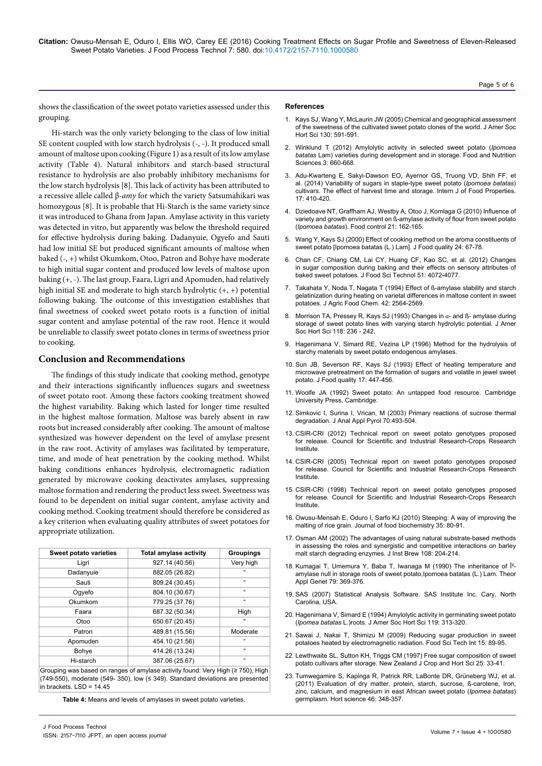**Citation:** Owusu-Mensah E, Oduro I, Ellis WO, Carey EE (2016) Cooking Treatment Effects on Sugar Profile and Sweetness of Eleven-Released Sweet Potato Varieties. J Food Process Technol 7: 580. doi:10.4172/2157-7110.1000580

shows the classification of the sweet potato varieties assessed under this grouping.

Hi-starch was the only variety belonging to the class of low initial SE content coupled with low starch hydrolysis (-, -). It produced small amount of maltose upon cooking (Figure 1) as a result of its low amylase activity (Table 4). Natural inhibitors and starch-based structural resistance to hydrolysis are also probably inhibitory mechanisms for the low starch hydrolysis [8]. This lack of activity has been attributed to a recessive allele called β*-amy* for which the variety Satsumahikari was homozygous [8]. It is probable that Hi-Starch is the same variety since it was introduced to Ghana from Japan. Amylase activity in this variety was detected in vitro, but apparently was below the threshold required for effective hydrolysis during baking. Dadanyuie, Ogyefo and Sauti had low initial SE but produced significant amounts of maltose when baked (-, +) whilst Okumkom, Otoo, Patron and Bohye have moderate to high initial sugar content and produced low levels of maltose upon baking (+, -). The last group, Faara, Ligri and Apomuden, had relatively high initial SE and moderate to high starch hydrolytic (+, +) potential following baking. The outcome of this investigation establishes that final sweetness of cooked sweet potato roots is a function of initial sugar content and amylase potential of the raw root. Hence it would be unreliable to classify sweet potato clones in terms of sweetness prior to cooking.

#### **Conclusion and Recommendations**

The findings of this study indicate that cooking method, genotype and their interactions significantly influences sugars and sweetness of sweet potato root. Among these factors cooking treatment showed the highest variability. Baking which lasted for longer time resulted in the highest maltose formation. Maltose was barely absent in raw roots but increased considerably after cooking. The amount of maltose synthesized was however dependent on the level of amylase present in the raw root. Activity of amylases was facilitated by temperature, time, and mode of heat penetration by the cooking method. Whilst baking conditions enhances hydrolysis, electromagnetic radiation generated by microwave cooking deactivates amylases, suppressing maltose formation and rendering the product less sweet. Sweetness was found to be dependent on initial sugar content, amylase activity and cooking method. Cooking treatment should therefore be considered as a key criterion when evaluating quality attributes of sweet potatoes for appropriate utilization.

| Sweet potato varieties | <b>Total amylase activity</b>                                                  | <b>Groupings</b>           |
|------------------------|--------------------------------------------------------------------------------|----------------------------|
| Ligri                  | 927.14 (40.56)                                                                 | Very high                  |
| Dadanyuie              | 882.05 (26.82)                                                                 | $\mathfrak{c}$             |
| Sauti                  | 809.24 (30.45)                                                                 | $\mathfrak{c}$             |
| Oqyefo                 | 804.10 (30.67)                                                                 | $\mathfrak{c}\mathfrak{c}$ |
| Okumkom                | 779.25 (37.76)                                                                 | $\epsilon$                 |
| Faara                  | 687.32 (50.34)                                                                 | High                       |
| Otoo                   | 650.67 (20.45)                                                                 | $\mathfrak{c}$             |
| Patron                 | 489.81 (15.56)                                                                 | Moderate                   |
| Apomuden               | 454.10 (21.56)                                                                 | $\mathfrak{c}$             |
| Bohye                  | 414.26 (13.24)                                                                 | $\alpha$                   |
| Hi-starch              | 387.06 (25.67)                                                                 | $\mathfrak{c}\mathfrak{c}$ |
|                        | Grouping was based on ranges of amylase activity found: Very High (> 750) High |                            |

 $\epsilon$ ed on ranges of amylase activity found: Very High (≥ 750), High (749-550), moderate (549- 350), low (≤ 349). Standard deviations are presented in brackets. LSD = 14.45

**Table 4:** Means and levels of amylases in sweet potato varieties.

#### **References**

- 1. [Kays SJ, Wang Y, McLaurin JW \(2005\) Chemical and geographical assessment](http://journal.ashspublications.org/content/130/4/591.abstract)  [of the sweetness of the cultivated sweet potato clones of the world. J Amer Soc](http://journal.ashspublications.org/content/130/4/591.abstract)  [Hort Sci 130: 591-591.](http://journal.ashspublications.org/content/130/4/591.abstract)
- 2. [Winklund T \(2012\) Amylolytic activity in selected sweet potato \(](https://www.google.co.in/url?sa=t&rct=j&q=&esrc=s&source=web&cd=1&cad=rja&uact=8&ved=0ahUKEwjerY23oqzMAhWIco4KHWykB0kQFggbMAA&url=http%3A%2F%2Fwww.scirp.org%2Fjournal%2FPaperInformation.aspx%3FPaperID%3D19079&usg=AFQjCNE07-CG1mGL7GB-myQjusO1lrJZ5w&bvm=bv.120551593,d.c2E)*Ipomoea batatas* [Lam\) varieties during development and in storage. Food and Nutrition](https://www.google.co.in/url?sa=t&rct=j&q=&esrc=s&source=web&cd=1&cad=rja&uact=8&ved=0ahUKEwjerY23oqzMAhWIco4KHWykB0kQFggbMAA&url=http%3A%2F%2Fwww.scirp.org%2Fjournal%2FPaperInformation.aspx%3FPaperID%3D19079&usg=AFQjCNE07-CG1mGL7GB-myQjusO1lrJZ5w&bvm=bv.120551593,d.c2E)  [Sciences 3: 660-668.](https://www.google.co.in/url?sa=t&rct=j&q=&esrc=s&source=web&cd=1&cad=rja&uact=8&ved=0ahUKEwjerY23oqzMAhWIco4KHWykB0kQFggbMAA&url=http%3A%2F%2Fwww.scirp.org%2Fjournal%2FPaperInformation.aspx%3FPaperID%3D19079&usg=AFQjCNE07-CG1mGL7GB-myQjusO1lrJZ5w&bvm=bv.120551593,d.c2E)
- 3. [Adu-Kwarteng E, Sakyi-Dawson EO, Ayernor GS, Truong VD, Shih FF, et](https://www.researchgate.net/publication/271754231_Variability_of_Sugars_in_Staple-Type_Sweet_Potato_Ipomoea_batatas_Cultivars_The_Effects_of_Harvest_Time_and_Storage)  [al. \(2014\) Variability of sugars in staple-type sweet potato \(](https://www.researchgate.net/publication/271754231_Variability_of_Sugars_in_Staple-Type_Sweet_Potato_Ipomoea_batatas_Cultivars_The_Effects_of_Harvest_Time_and_Storage)*Ipomoea batatas*) [cultivars. The effect of harvest time and storage. Intern J of Food Properties.](https://www.researchgate.net/publication/271754231_Variability_of_Sugars_in_Staple-Type_Sweet_Potato_Ipomoea_batatas_Cultivars_The_Effects_of_Harvest_Time_and_Storage)  [17: 410-420.](https://www.researchgate.net/publication/271754231_Variability_of_Sugars_in_Staple-Type_Sweet_Potato_Ipomoea_batatas_Cultivars_The_Effects_of_Harvest_Time_and_Storage)
- 4. [Dziedoave NT, Graffham AJ, Westby A, Otoo J, Komlaga G \(2010\) Influence of](http://pubag.nal.usda.gov/pubag/article.xhtml?id=2204815&searchText=author%3A%22Westby%2CA.%22&searchField=)  [variety and growth environment on ß-amylase activity of flour from sweet potato](http://pubag.nal.usda.gov/pubag/article.xhtml?id=2204815&searchText=author%3A%22Westby%2CA.%22&searchField=)  (*Ipomoea batatas*[\). Food control 21: 162-165.](http://pubag.nal.usda.gov/pubag/article.xhtml?id=2204815&searchText=author%3A%22Westby%2CA.%22&searchField=)
- 5. [Wang Y, Kays SJ \(2000\) Effect of cooking method on the aroma constituents of](http://onlinelibrary.wiley.com/doi/10.1111/j.1745-4557.2001.tb00591.x/abstract)  [sweet potato \[Ipomoea batatas \(L.\) Lam\]. J Food quality 24: 67-78.](http://onlinelibrary.wiley.com/doi/10.1111/j.1745-4557.2001.tb00591.x/abstract)
- 6. [Chan CF, Chiang CM, Lai CY, Huang CF, Kao SC, et al. \(2012\) Changes](http://link.springer.com/article/10.1007/s13197-012-0900-z)  [in sugar composition during baking and their effects on sensory attributes of](http://link.springer.com/article/10.1007/s13197-012-0900-z)  [baked sweet potatoes. J Food Sci Technol 51: 4072-4077.](http://link.springer.com/article/10.1007/s13197-012-0900-z)
- 7. [Takahata Y, Noda T, Nagata T \(1994\) Effect of ß-amylase stability and starch](https://www.google.co.in/url?sa=t&rct=j&q=&esrc=s&source=web&cd=1&cad=rja&uact=8&ved=0ahUKEwjQ6q6soqzMAhVGB44KHWv5BN4QFggcMAA&url=http%3A%2F%2Fpubs.acs.org%2Fdoi%2Fabs%2F10.1021%2Fjf00047a036&usg=AFQjCNEsK-Afenq3BG5fCsFRFaA6YcT-RQ)  [gelatinization during heating on varietal differences in maltose content in sweet](https://www.google.co.in/url?sa=t&rct=j&q=&esrc=s&source=web&cd=1&cad=rja&uact=8&ved=0ahUKEwjQ6q6soqzMAhVGB44KHWv5BN4QFggcMAA&url=http%3A%2F%2Fpubs.acs.org%2Fdoi%2Fabs%2F10.1021%2Fjf00047a036&usg=AFQjCNEsK-Afenq3BG5fCsFRFaA6YcT-RQ)  [potatoes. J Agric Food Chem. 42: 2564-2569.](https://www.google.co.in/url?sa=t&rct=j&q=&esrc=s&source=web&cd=1&cad=rja&uact=8&ved=0ahUKEwjQ6q6soqzMAhVGB44KHWv5BN4QFggcMAA&url=http%3A%2F%2Fpubs.acs.org%2Fdoi%2Fabs%2F10.1021%2Fjf00047a036&usg=AFQjCNEsK-Afenq3BG5fCsFRFaA6YcT-RQ)
- [Morrison TA, Pressey R, Kays SJ \(1993\) Changes in](http://journal.ashspublications.org/content/118/2/236?related-urls=yes&legid=jashs;118/2/236) a- and ß- amylase during [storage of sweet potato lines with varying starch hydrolytic potential. J Amer](http://journal.ashspublications.org/content/118/2/236?related-urls=yes&legid=jashs;118/2/236)  [Soc Hort Sci 118: 236 - 242.](http://journal.ashspublications.org/content/118/2/236?related-urls=yes&legid=jashs;118/2/236)
- 9. [Hagenimana V, Simard RE, Vezina LP \(1996\) Method for the hydrolysis of](https://www.google.co.in/url?sa=t&rct=j&q=&esrc=s&source=web&cd=1&cad=rja&uact=8&ved=0ahUKEwij1J2PoqzMAhXEco4KHcgqBK4QFggeMAA&url=http%3A%2F%2Fwww.google.co.in%2Fpatents%2FUS5525154&usg=AFQjCNH-_l8SlJz_RONmg1MfRqRVZaaoiA&bvm=bv.120551593,d.c2E)  [starchy materials by sweet potato endogenous amylases.](https://www.google.co.in/url?sa=t&rct=j&q=&esrc=s&source=web&cd=1&cad=rja&uact=8&ved=0ahUKEwij1J2PoqzMAhXEco4KHcgqBK4QFggeMAA&url=http%3A%2F%2Fwww.google.co.in%2Fpatents%2FUS5525154&usg=AFQjCNH-_l8SlJz_RONmg1MfRqRVZaaoiA&bvm=bv.120551593,d.c2E)
- 10. [Sun JB, Severson RF, Kays SJ \(1993\) Effect of heating temperature and](http://eurekamag.com/research/013/114/013114029.php)  microwave pretreatment on the formation of sugars and volatile in jewel sweet [potato. J Food quality 17: 447-456.](http://eurekamag.com/research/013/114/013114029.php)
- 11. [Woolfe JA \(1992\) Sweet potato: An untapped food resource. Cambridge](https://books.google.co.in/books?id=_MWmIDzNMSYC&redir_esc=y)  [University Press, Cambridge.](https://books.google.co.in/books?id=_MWmIDzNMSYC&redir_esc=y)
- 12. [Simkovic I, Surina I, Vrican, M \(2003\) Primary reactions of sucrose thermal](http://www.sciencedirect.com/science/article/pii/S016523700300007X)  [degradation. J Anal Appl Pyrol 70:493-504.](http://www.sciencedirect.com/science/article/pii/S016523700300007X)
- 13. [CSIR-CRI \(2012\) Technical report on sweet potato genotypes proposed](https://www.google.co.in/url?sa=t&rct=j&q=&esrc=s&source=web&cd=1&cad=rja&uact=8&ved=0ahUKEwigibm3oazMAhUKHY4KHdhXBY4QFggbMAA&url=http%3A%2F%2Fwww.sweetpotatoknowledge.org%2Fwp-content%2Fuploads%2F2016%2F01%2FPRES19_ADOFO_GHANA.pdf&usg=AFQjCNHOmqABWDVeEXctEesLt6E0xCg8Rw&bvm=bv.120551593,d.c2E)  [for release. Council for Scientific and Industrial Research-Crops Research](https://www.google.co.in/url?sa=t&rct=j&q=&esrc=s&source=web&cd=1&cad=rja&uact=8&ved=0ahUKEwigibm3oazMAhUKHY4KHdhXBY4QFggbMAA&url=http%3A%2F%2Fwww.sweetpotatoknowledge.org%2Fwp-content%2Fuploads%2F2016%2F01%2FPRES19_ADOFO_GHANA.pdf&usg=AFQjCNHOmqABWDVeEXctEesLt6E0xCg8Rw&bvm=bv.120551593,d.c2E)  [Institute.](https://www.google.co.in/url?sa=t&rct=j&q=&esrc=s&source=web&cd=1&cad=rja&uact=8&ved=0ahUKEwigibm3oazMAhUKHY4KHdhXBY4QFggbMAA&url=http%3A%2F%2Fwww.sweetpotatoknowledge.org%2Fwp-content%2Fuploads%2F2016%2F01%2FPRES19_ADOFO_GHANA.pdf&usg=AFQjCNHOmqABWDVeEXctEesLt6E0xCg8Rw&bvm=bv.120551593,d.c2E)
- 14. [CSIR-CRI \(2005\) Technical report on sweet potato genotypes proposed](https://www.google.co.in/url?sa=t&rct=j&q=&esrc=s&source=web&cd=2&cad=rja&uact=8&ved=0ahUKEwjJhZrioazMAhUIHo4KHRKYAhYQFgghMAE&url=http%3A%2F%2Fwww.sweetpotatoknowledge.org%2Fwp-content%2Fuploads%2F2016%2F01%2FPRES19_ADOFO_GHANA.pdf&usg=AFQjCNHOmqABWDVeEXctEesLt6E0xCg8Rw&bvm=bv.120551593,d.c2E)  [for release. Council for Scientific and Industrial Research-Crops Research](https://www.google.co.in/url?sa=t&rct=j&q=&esrc=s&source=web&cd=2&cad=rja&uact=8&ved=0ahUKEwjJhZrioazMAhUIHo4KHRKYAhYQFgghMAE&url=http%3A%2F%2Fwww.sweetpotatoknowledge.org%2Fwp-content%2Fuploads%2F2016%2F01%2FPRES19_ADOFO_GHANA.pdf&usg=AFQjCNHOmqABWDVeEXctEesLt6E0xCg8Rw&bvm=bv.120551593,d.c2E)  [Institute.](https://www.google.co.in/url?sa=t&rct=j&q=&esrc=s&source=web&cd=2&cad=rja&uact=8&ved=0ahUKEwjJhZrioazMAhUIHo4KHRKYAhYQFgghMAE&url=http%3A%2F%2Fwww.sweetpotatoknowledge.org%2Fwp-content%2Fuploads%2F2016%2F01%2FPRES19_ADOFO_GHANA.pdf&usg=AFQjCNHOmqABWDVeEXctEesLt6E0xCg8Rw&bvm=bv.120551593,d.c2E)
- 15. [CSIR-CRI \(1998\) Technical report on sweet potato genotypes proposed](https://www.google.co.in/url?sa=t&rct=j&q=&esrc=s&source=web&cd=1&cad=rja&uact=8&ved=0ahUKEwiGh_TuoazMAhULSo4KHX75AnQQFggbMAA&url=http%3A%2F%2Fwww.cropsresearch.org%2Findex.php%3Foption%3Dcom_content%26view%3Darticle%26id%3D75%26Itemid%3D244&usg=AFQjCNGPEWYI9p_6IfAOtGNR_C0vyRAh0w&bvm=bv.120551593,d.c2E)  [for release. Council for Scientific and Industrial Research-Crops Research](https://www.google.co.in/url?sa=t&rct=j&q=&esrc=s&source=web&cd=1&cad=rja&uact=8&ved=0ahUKEwiGh_TuoazMAhULSo4KHX75AnQQFggbMAA&url=http%3A%2F%2Fwww.cropsresearch.org%2Findex.php%3Foption%3Dcom_content%26view%3Darticle%26id%3D75%26Itemid%3D244&usg=AFQjCNGPEWYI9p_6IfAOtGNR_C0vyRAh0w&bvm=bv.120551593,d.c2E)  [Institute.](https://www.google.co.in/url?sa=t&rct=j&q=&esrc=s&source=web&cd=1&cad=rja&uact=8&ved=0ahUKEwiGh_TuoazMAhULSo4KHX75AnQQFggbMAA&url=http%3A%2F%2Fwww.cropsresearch.org%2Findex.php%3Foption%3Dcom_content%26view%3Darticle%26id%3D75%26Itemid%3D244&usg=AFQjCNGPEWYI9p_6IfAOtGNR_C0vyRAh0w&bvm=bv.120551593,d.c2E)
- 16. [Owusu-Mensah E, Oduro I, Sarfo KJ \(2010\) Steeping: A way of improving the](http://onlinelibrary.wiley.com/doi/10.1111/j.1745-4514.2010.00367.x/abstract)  [malting of rice grain. Journal of food biochemistry 35: 80-91.](http://onlinelibrary.wiley.com/doi/10.1111/j.1745-4514.2010.00367.x/abstract)
- 17. [Osman AM \(2002\) The advantages of using natural substrate-based methods](http://onlinelibrary.wiley.com/doi/10.1002/j.2050-0416.2002.tb00542.x/abstract)  [in assessing the roles and synergistic and competitive interactions on barley](http://onlinelibrary.wiley.com/doi/10.1002/j.2050-0416.2002.tb00542.x/abstract)  [malt starch degrading enzymes. J Inst Brew 108: 204-214.](http://onlinelibrary.wiley.com/doi/10.1002/j.2050-0416.2002.tb00542.x/abstract)
- 18. [Kumagai T, Umemura Y, Baba T, Iwanaga M \(1990\) The inheritance of β](http://www.ncbi.nlm.nih.gov/pubmed/24226356) [amylase null in storage roots of sweet potato,Ipomoea batatas \(L.\) Lam. Theor](http://www.ncbi.nlm.nih.gov/pubmed/24226356)  [Appl Genet 79: 369-376.](http://www.ncbi.nlm.nih.gov/pubmed/24226356)
- 19. [SAS \(2007\) Statistical Analysis Software. SAS Institute Inc. Cary, North](https://www.google.co.in/url?sa=t&rct=j&q=&esrc=s&source=web&cd=3&cad=rja&uact=8&ved=0ahUKEwjCibzsoqzMAhXBTo4KHaN1A-MQFgg3MAI&url=http%3A%2F%2Frat-stats-2007.software.informer.com%2F2.0%2F&usg=AFQjCNGcA00cJdoemDUyl7gScJhiieUqTA&bvm=bv.120551593,d.c2E)  [Carolina, USA.](https://www.google.co.in/url?sa=t&rct=j&q=&esrc=s&source=web&cd=3&cad=rja&uact=8&ved=0ahUKEwjCibzsoqzMAhXBTo4KHaN1A-MQFgg3MAI&url=http%3A%2F%2Frat-stats-2007.software.informer.com%2F2.0%2F&usg=AFQjCNGcA00cJdoemDUyl7gScJhiieUqTA&bvm=bv.120551593,d.c2E)
- 20. [Hagenimana V, Simard E \(1994\) Amylolytic activity in germinating sweet potato](http://journal.ashspublications.org/content/119/2/313.full.pdf)  (*Ipomea batatas* [L.\)roots. J Amer Soc Hort Sci 119: 313-320.](http://journal.ashspublications.org/content/119/2/313.full.pdf)
- 21. [Sawai J, Nakai T, Shimizu M \(2009\) Reducing sugar production in sweet](https://www.researchgate.net/publication/232103551_Reducing_Sugar_Production_in_Sweet_Potatoes_Heated_by_Electromagnetic_Radiation)  [potatoes heated by electromagnetic radiation. Food Sci Tech Int 15: 89-95.](https://www.researchgate.net/publication/232103551_Reducing_Sugar_Production_in_Sweet_Potatoes_Heated_by_Electromagnetic_Radiation)
- 22. [Lewthwaite SL, Sutton KH, Triggs CM \(1997\) Free sugar composition of sweet](https://www.researchgate.net/publication/248911427_Free_sugar_composition_of_sweetpotato_cultivars_after_storage)  [potato cultivars after storage. New Zealand J Crop and Hort Sci 25: 33-41.](https://www.researchgate.net/publication/248911427_Free_sugar_composition_of_sweetpotato_cultivars_after_storage)
- 23. [Tumwegamire S, Kapinga R, Patrick RR, LaBonte DR, Grüneberg WJ, et al.](http://agris.fao.org/agris-search/search.do?recordID=GB2012104835)  [\(2011\) Evaluation of dry matter, protein, starch, sucrose, ß-carotene, Iron,](http://agris.fao.org/agris-search/search.do?recordID=GB2012104835)  [zinc, calcium, and magnesium in east African sweet potato \(](http://agris.fao.org/agris-search/search.do?recordID=GB2012104835)*Ipomea batatas*) [germplasm. Hort science 46: 348-357.](http://agris.fao.org/agris-search/search.do?recordID=GB2012104835)